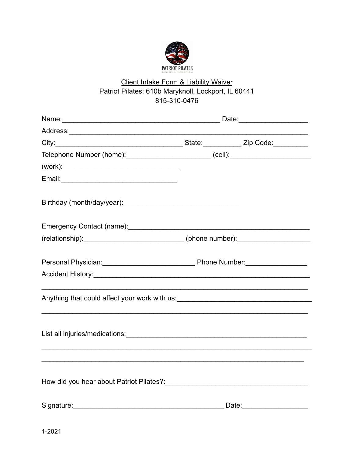

## Client Intake Form & Liability Waiver Patriot Pilates: 610b Maryknoll, Lockport, IL 60441 815-310-0476

| Telephone Number (home): ________________________________(cell):_________________                                     |  |  |
|-----------------------------------------------------------------------------------------------------------------------|--|--|
|                                                                                                                       |  |  |
|                                                                                                                       |  |  |
|                                                                                                                       |  |  |
|                                                                                                                       |  |  |
| (relationship):________________________________(phone number):__________________                                      |  |  |
| Accident History: <u>Contract Accident History:</u> Accident History:                                                 |  |  |
|                                                                                                                       |  |  |
| <u> 1989 - Johann Harry Harry Harry Harry Harry Harry Harry Harry Harry Harry Harry Harry Harry Harry Harry Harry</u> |  |  |
|                                                                                                                       |  |  |
|                                                                                                                       |  |  |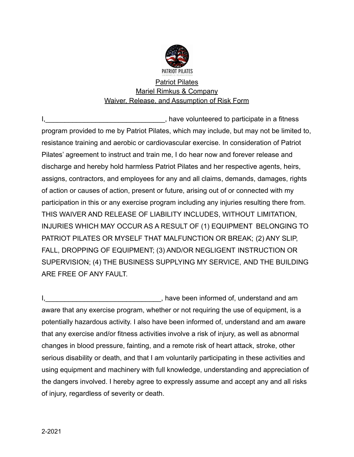

## **Patriot Pilates** Mariel Rimkus & Company Waiver, Release, and Assumption of Risk Form

I, the settle of the state of the state of the state of the state in a fitness in a fitness of the state of the state of the state of the state of the state of the state of the state of the state of the state of the state program provided to me by Patriot Pilates, which may include, but may not be limited to, resistance training and aerobic or cardiovascular exercise. In consideration of Patriot Pilates' agreement to instruct and train me, I do hear now and forever release and discharge and hereby hold harmless Patriot Pilates and her respective agents, heirs, assigns, contractors, and employees for any and all claims, demands, damages, rights of action or causes of action, present or future, arising out of or connected with my participation in this or any exercise program including any injuries resulting there from. THIS WAIVER AND RELEASE OF LIABILITY INCLUDES, WITHOUT LIMITATION, INJURIES WHICH MAY OCCUR AS A RESULT OF (1) EQUIPMENT BELONGING TO PATRIOT PILATES OR MYSELF THAT MALFUNCTION OR BREAK; (2) ANY SLIP, FALL, DROPPING OF EQUIPMENT; (3) AND/OR NEGLIGENT INSTRUCTION OR SUPERVISION; (4) THE BUSINESS SUPPLYING MY SERVICE, AND THE BUILDING ARE FREE OF ANY FAULT.

I, I, the same of the state of the state of the state of the state of the state of the state of the state of the state of the state of the state of the state of the state of the state of the state of the state of the state aware that any exercise program, whether or not requiring the use of equipment, is a potentially hazardous activity. I also have been informed of, understand and am aware that any exercise and/or fitness activities involve a risk of injury, as well as abnormal changes in blood pressure, fainting, and a remote risk of heart attack, stroke, other serious disability or death, and that I am voluntarily participating in these activities and using equipment and machinery with full knowledge, understanding and appreciation of the dangers involved. I hereby agree to expressly assume and accept any and all risks of injury, regardless of severity or death.